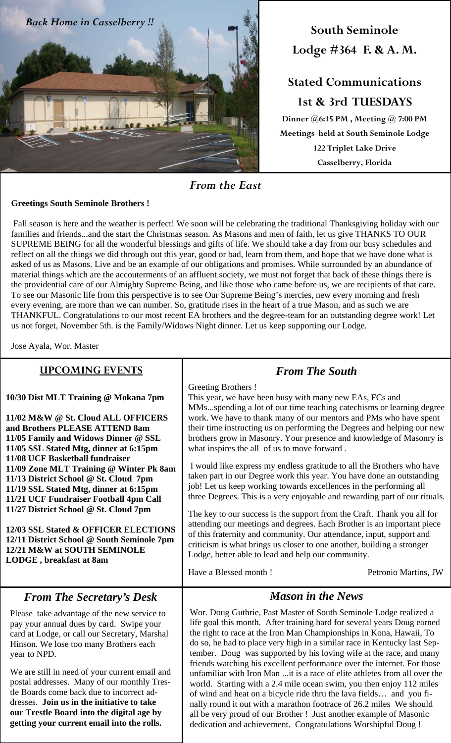

**South Seminole Lodge #364 F. & A. M.** 

# **Stated Communications 1st & 3rd TUESDAYS**

**Dinner @6:15 PM , Meeting @ 7:00 PM Meetings held at South Seminole Lodge 122 Triplet Lake Drive Casselberry, Florida**

*From the East* 

#### **Greetings South Seminole Brothers !**

 Fall season is here and the weather is perfect! We soon will be celebrating the traditional Thanksgiving holiday with our families and friends...and the start the Christmas season. As Masons and men of faith, let us give THANKS TO OUR SUPREME BEING for all the wonderful blessings and gifts of life. We should take a day from our busy schedules and reflect on all the things we did through out this year, good or bad, learn from them, and hope that we have done what is asked of us as Masons. Live and be an example of our obligations and promises. While surrounded by an abundance of material things which are the accouterments of an affluent society, we must not forget that back of these things there is the providential care of our Almighty Supreme Being, and like those who came before us, we are recipients of that care. To see our Masonic life from this perspective is to see Our Supreme Being's mercies, new every morning and fresh every evening, are more than we can number. So, gratitude rises in the heart of a true Mason, and as such we are THANKFUL. Congratulations to our most recent EA brothers and the degree-team for an outstanding degree work! Let us not forget, November 5th. is the Family/Widows Night dinner. Let us keep supporting our Lodge.

Jose Ayala, Wor. Master

**getting your current email into the rolls.** 

| <b>UPCOMING EVENTS</b>                                                                                                                                                                                                                                                                                                                                                                                                                                                                                                                                                                             | <b>From The South</b>                                                                                                                                                                                                                                                                                                                                                                                                                                                                                                                                                                                                                                                                                                                                                                                                                                                                                                                                                                                                                                                                                                                              |  |  |
|----------------------------------------------------------------------------------------------------------------------------------------------------------------------------------------------------------------------------------------------------------------------------------------------------------------------------------------------------------------------------------------------------------------------------------------------------------------------------------------------------------------------------------------------------------------------------------------------------|----------------------------------------------------------------------------------------------------------------------------------------------------------------------------------------------------------------------------------------------------------------------------------------------------------------------------------------------------------------------------------------------------------------------------------------------------------------------------------------------------------------------------------------------------------------------------------------------------------------------------------------------------------------------------------------------------------------------------------------------------------------------------------------------------------------------------------------------------------------------------------------------------------------------------------------------------------------------------------------------------------------------------------------------------------------------------------------------------------------------------------------------------|--|--|
| 10/30 Dist MLT Training @ Mokana 7pm<br>11/02 M&W @ St. Cloud ALL OFFICERS<br>and Brothers PLEASE ATTEND 8am<br>11/05 Family and Widows Dinner @ SSL<br>11/05 SSL Stated Mtg, dinner at 6:15pm<br>11/08 UCF Basketball fundraiser<br>11/09 Zone MLT Training @ Winter Pk 8am<br>11/13 District School @ St. Cloud 7pm<br>11/19 SSL Stated Mtg, dinner at 6:15pm<br>11/21 UCF Fundraiser Football 4pm Call<br>11/27 District School @ St. Cloud 7pm<br>12/03 SSL Stated & OFFICER ELECTIONS<br>12/11 District School @ South Seminole 7pm<br>12/21 M&W at SOUTH SEMINOLE<br>LODGE, breakfast at 8am | Greeting Brothers !<br>This year, we have been busy with many new EAs, FCs and<br>MMsspending a lot of our time teaching catechisms or learning degree<br>work. We have to thank many of our mentors and PMs who have spent<br>their time instructing us on performing the Degrees and helping our new<br>brothers grow in Masonry. Your presence and knowledge of Masonry is<br>what inspires the all of us to move forward.<br>I would like express my endless gratitude to all the Brothers who have<br>taken part in our Degree work this year. You have done an outstanding<br>job! Let us keep working towards excellences in the performing all<br>three Degrees. This is a very enjoyable and rewarding part of our rituals.<br>The key to our success is the support from the Craft. Thank you all for<br>attending our meetings and degrees. Each Brother is an important piece<br>of this fraternity and community. Our attendance, input, support and<br>criticism is what brings us closer to one another, building a stronger<br>Lodge, better able to lead and help our community.<br>Have a Blessed month!<br>Petronio Martins, JW |  |  |
| <b>From The Secretary's Desk</b>                                                                                                                                                                                                                                                                                                                                                                                                                                                                                                                                                                   | <b>Mason in the News</b>                                                                                                                                                                                                                                                                                                                                                                                                                                                                                                                                                                                                                                                                                                                                                                                                                                                                                                                                                                                                                                                                                                                           |  |  |
| Please take advantage of the new service to<br>pay your annual dues by card. Swipe your<br>card at Lodge, or call our Secretary, Marshal<br>Hinson. We lose too many Brothers each<br>year to NPD.<br>We are still in need of your current email and<br>postal addresses. Many of our monthly Tres-<br>tle Boards come back due to incorrect ad-<br>dresses. Join us in the initiative to take<br>our Trestle Board into the digital age by                                                                                                                                                        | Wor. Doug Guthrie, Past Master of South Seminole Lodge realized a<br>life goal this month. After training hard for several years Doug earned<br>the right to race at the Iron Man Championships in Kona, Hawaii, To<br>do so, he had to place very high in a similar race in Kentucky last Sep-<br>tember. Doug was supported by his loving wife at the race, and many<br>friends watching his excellent performance over the internet. For those<br>unfamiliar with Iron Man it is a race of elite athletes from all over the<br>world. Starting with a 2.4 mile ocean swim, you then enjoy 112 miles<br>of wind and heat on a bicycle ride thru the lava fields and you fi-<br>nally round it out with a marathon footrace of 26.2 miles We should<br>all be very proud of our Brother U lust another example of Masonic                                                                                                                                                                                                                                                                                                                         |  |  |

all be very proud of our Brother ! Just another example of Masonic dedication and achievement. Congratulations Worshipful Doug !